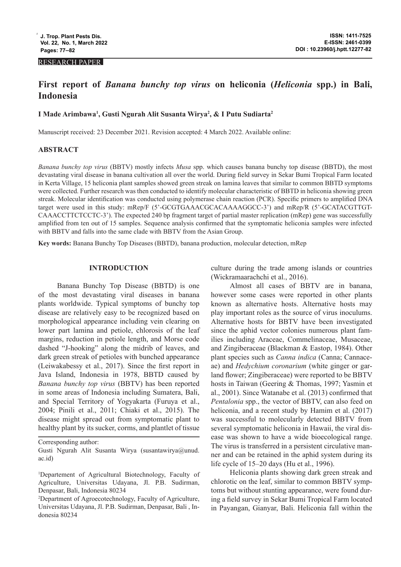#### RESEARCH PAPER

# **First report of** *Banana bunchy top virus* **on heliconia (***Heliconia* **spp.) in Bali, Indonesia**

# **I Made Arimbawa1 , Gusti Ngurah Alit Susanta Wirya2 , & I Putu Sudiarta2**

Manuscript received: 23 December 2021. Revision accepted: 4 March 2022. Available online:

#### **ABSTRACT**

*Banana bunchy top virus* (BBTV) mostly infects *Musa* spp. which causes banana bunchy top disease (BBTD), the most devastating viral disease in banana cultivation all over the world. During field survey in Sekar Bumi Tropical Farm located in Kerta Village, 15 heliconia plant samples showed green streak on lamina leaves that similar to common BBTD symptoms were collected. Further research was then conducted to identify molecular characteristic of BBTD in heliconia showing green streak. Molecular identification was conducted using polymerase chain reaction (PCR). Specific primers to amplified DNA target were used in this study: mRep/F (5'-GCGTGAAACGCACAAAAGGCC-3') and mRep/R (5'-GCATACGTTGT-CAAACCTTCTCCTC-3'). The expected 240 bp fragment target of partial master replication (mRep) gene was successfully amplified from ten out of 15 samples. Sequence analysis confirmed that the symptomatic heliconia samples were infected with BBTV and falls into the same clade with BBTV from the Asian Group.

**Key words:** Banana Bunchy Top Diseases (BBTD), banana production, molecular detection, mRep

# **INTRODUCTION**

Banana Bunchy Top Disease (BBTD) is one of the most devastating viral diseases in banana plants worldwide. Typical symptoms of bunchy top disease are relatively easy to be recognized based on morphological appearance including vein clearing on lower part lamina and petiole, chlorosis of the leaf margins, reduction in petiole length, and Morse code dashed "J-hooking" along the midrib of leaves, and dark green streak of petioles with bunched appearance (Leiwakabessy et al., 2017). Since the first report in Java Island, Indonesia in 1978, BBTD caused by *Banana bunchy top virus* (BBTV) has been reported in some areas of Indonesia including Sumatera, Bali, and Special Territory of Yogyakarta (Furuya et al., 2004; Pinili et al., 2011; Chiaki et al., 2015). The disease might spread out from symptomatic plant to healthy plant by its sucker, corms, and plantlet of tissue

culture during the trade among islands or countries (Wickramaarachchi et al., 2016).

Almost all cases of BBTV are in banana, however some cases were reported in other plants known as alternative hosts. Alternative hosts may play important roles as the source of virus inoculums. Alternative hosts for BBTV have been investigated since the aphid vector colonies numerous plant families including Araceae, Commelinaceae, Musaceae, and Zingiberaceae (Blackman & Eastop, 1984). Other plant species such as *Canna indica* (Canna; Cannaceae) and *Hedychium coronarium* (white ginger or garland flower; Zingiberaceae) were reported to be BBTV hosts in Taiwan (Geering & Thomas, 1997; Yasmin et al., 2001). Since Watanabe et al. (2013) confirmed that *Pentalonia* spp., the vector of BBTV, can also feed on heliconia, and a recent study by Hamim et al. (2017) was successful to molecularly detected BBTV from several symptomatic heliconia in Hawaii, the viral disease was shown to have a wide bioecological range. The virus is transferred in a persistent circulative manner and can be retained in the aphid system during its life cycle of 15–20 days (Hu et al., 1996).

Heliconia plants showing dark green streak and chlorotic on the leaf, similar to common BBTV symptoms but without stunting appearance, were found during a field survey in Sekar Bumi Tropical Farm located in Payangan, Gianyar, Bali. Heliconia fall within the

Corresponding author:

Gusti Ngurah Alit Susanta Wirya (susantawirya@unud. ac.id)

<sup>1</sup> Departement of Agricultural Biotechnology, Faculty of Agriculture, Universitas Udayana, Jl. P.B. Sudirman, Denpasar, Bali, Indonesia 80234

<sup>2</sup> Department of Agroecotechnology, Faculty of Agriculture, Universitas Udayana, Jl. P.B. Sudirman, Denpasar, Bali , Indonesia 80234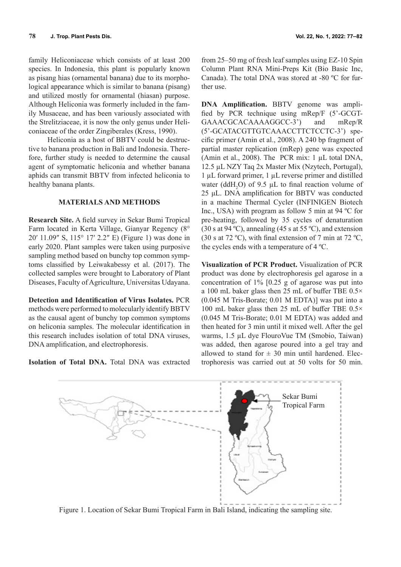family Heliconiaceae which consists of at least 200 species. In Indonesia, this plant is popularly known as pisang hias (ornamental banana) due to its morphological appearance which is similar to banana (pisang) and utilized mostly for ornamental (hiasan) purpose. Although Heliconia was formerly included in the family Musaceae, and has been variously associated with the Strelitziaceae, it is now the only genus under Heliconiaceae of the order Zingiberales (Kress, 1990).

Heliconia as a host of BBTV could be destructive to banana production in Bali and Indonesia. Therefore, further study is needed to determine the causal agent of symptomatic heliconia and whether banana aphids can transmit BBTV from infected heliconia to healthy banana plants.

# **MATERIALS AND METHODS**

**Research Site.** A field survey in Sekar Bumi Tropical Farm located in Kerta Village, Gianyar Regency (8° 20′ 11.09″ S, 115° 17′ 2.2″ E) (Figure 1) was done in early 2020. Plant samples were taken using purposive sampling method based on bunchy top common symptoms classified by Leiwakabessy et al. (2017). The collected samples were brought to Laboratory of Plant Diseases, Faculty of Agriculture, Universitas Udayana.

**Detection and Identification of Virus Isolates.** PCR methods were performed to molecularly identify BBTV as the causal agent of bunchy top common symptoms on heliconia samples. The molecular identification in this research includes isolation of total DNA viruses, DNA amplification, and electrophoresis.

**Isolation of Total DNA.** Total DNA was extracted

from 25–50 mg of fresh leaf samples using EZ-10 Spin Column Plant RNA Mini-Preps Kit (Bio Basic Inc, Canada). The total DNA was stored at -80 ºC for further use.

**DNA Amplification.** BBTV genome was amplified by PCR technique using mRep/F (5'-GCGT-GAAACGCACAAAAGGCC-3') and mRep/R (5'-GCATACGTTGTCAAACCTTCTCCTC-3') specific primer (Amin et al., 2008). A 240 bp fragment of partial master replication (mRep) gene was expected (Amin et al., 2008). The PCR mix: 1 µL total DNA, 12.5 µL NZY Taq 2x Master Mix (Nzytech, Portugal), 1 µL forward primer, 1 µL reverse primer and distilled water (ddH<sub>2</sub>O) of 9.5  $\mu$ L to final reaction volume of 25 μL. DNA amplification for BBTV was conducted in a machine Thermal Cycler (INFINIGEN Biotech Inc., USA) with program as follow 5 min at 94 ºC for pre-heating, followed by 35 cycles of denaturation (30 s at 94 °C), annealing (45 s at 55 °C), and extension (30 s at 72 °C), with final extension of 7 min at 72 °C, the cycles ends with a temperature of 4 ºC.

**Visualization of PCR Product.** Visualization of PCR product was done by electrophoresis gel agarose in a concentration of 1% [0.25 g of agarose was put into a 100 mL baker glass then 25 mL of buffer TBE 0.5× (0.045 M Tris-Borate; 0.01 M EDTA)] was put into a 100 mL baker glass then 25 mL of buffer TBE 0.5× (0.045 M Tris-Borate; 0.01 M EDTA) was added and then heated for 3 min until it mixed well. After the gel warms, 1.5 µL dye FlouroVue TM (Smobio, Taiwan) was added, then agarose poured into a gel tray and allowed to stand for  $\pm$  30 min until hardened. Electrophoresis was carried out at 50 volts for 50 min.



Figure 1. Location of Sekar Bumi Tropical Farm in Bali Island, indicating the sampling site.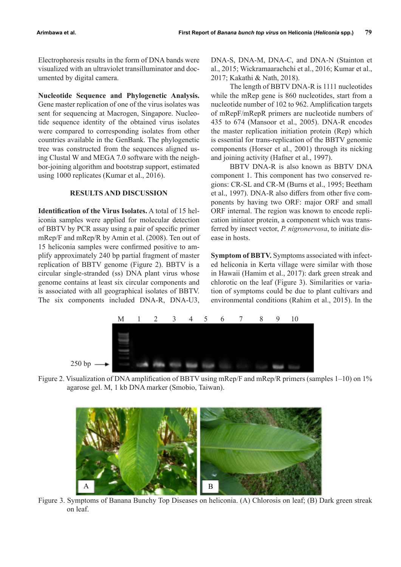Electrophoresis results in the form of DNA bands were visualized with an ultraviolet transilluminator and documented by digital camera.

**Nucleotide Sequence and Phylogenetic Analysis.** Gene master replication of one of the virus isolates was sent for sequencing at Macrogen, Singapore. Nucleotide sequence identity of the obtained virus isolates were compared to corresponding isolates from other countries available in the GenBank. The phylogenetic tree was constructed from the sequences aligned using Clustal W and MEGA 7.0 software with the neighbor-joining algorithm and bootstrap support, estimated using 1000 replicates (Kumar et al., 2016).

## **RESULTS AND DISCUSSION**

**Identification of the Virus Isolates.** A total of 15 heliconia samples were applied for molecular detection of BBTV by PCR assay using a pair of specific primer mRep/F and mRep/R by Amin et al. (2008). Ten out of 15 heliconia samples were confirmed positive to amplify approximately 240 bp partial fragment of master replication of BBTV genome (Figure 2). BBTV is a circular single-stranded (ss) DNA plant virus whose genome contains at least six circular components and is associated with all geographical isolates of BBTV. The six components included DNA-R, DNA-U3,

DNA-S, DNA-M, DNA-C, and DNA-N (Stainton et al., 2015; Wickramaarachchi et al., 2016; Kumar et al., 2017; Kakathi & Nath, 2018).

The length of BBTV DNA-R is 1111 nucleotides while the mRep gene is 860 nucleotides, start from a nucleotide number of 102 to 962. Amplification targets of mRepF/mRepR primers are nucleotide numbers of 435 to 674 (Mansoor et al., 2005). DNA-R encodes the master replication initiation protein (Rep) which is essential for trans-replication of the BBTV genomic components (Horser et al., 2001) through its nicking and joining activity (Hafner et al., 1997).

BBTV DNA-R is also known as BBTV DNA component 1. This component has two conserved regions: CR-SL and CR-M (Burns et al., 1995; Beetham et al., 1997). DNA-R also differs from other five components by having two ORF: major ORF and small ORF internal. The region was known to encode replication initiator protein, a component which was transferred by insect vector, *P. nigronervosa*, to initiate disease in hosts.

**Symptom of BBTV.** Symptoms associated with infected heliconia in Kerta village were similar with those in Hawaii (Hamim et al., 2017): dark green streak and chlorotic on the leaf (Figure 3). Similarities or variation of symptoms could be due to plant cultivars and environmental conditions (Rahim et al., 2015). In the



Figure 2. Visualization of DNA amplification of BBTV using mRep/F and mRep/R primers (samples 1–10) on 1% agarose gel. M, 1 kb DNA marker (Smobio, Taiwan).



Figure 3. Symptoms of Banana Bunchy Top Diseases on heliconia. (A) Chlorosis on leaf; (B) Dark green streak on leaf.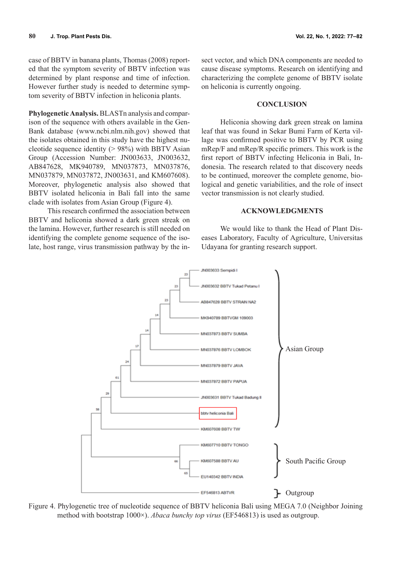case of BBTV in banana plants, Thomas (2008) reported that the symptom severity of BBTV infection was determined by plant response and time of infection. However further study is needed to determine symptom severity of BBTV infection in heliconia plants.

**Phylogenetic Analysis.** BLASTn analysis and comparison of the sequence with others available in the Gen-Bank database (www.ncbi.nlm.nih.gov) showed that the isolates obtained in this study have the highest nucleotide sequence identity  $(> 98\%)$  with BBTV Asian Group (Accession Number: JN003633, JN003632, AB847628, MK940789, MN037873, MN037876, MN037879, MN037872, JN003631, and KM607608). Moreover, phylogenetic analysis also showed that BBTV isolated heliconia in Bali fall into the same clade with isolates from Asian Group (Figure 4).

This research confirmed the association between BBTV and heliconia showed a dark green streak on the lamina. However, further research is still needed on identifying the complete genome sequence of the isolate, host range, virus transmission pathway by the in-

sect vector, and which DNA components are needed to cause disease symptoms. Research on identifying and characterizing the complete genome of BBTV isolate on heliconia is currently ongoing.

#### **CONCLUSION**

Heliconia showing dark green streak on lamina leaf that was found in Sekar Bumi Farm of Kerta village was confirmed positive to BBTV by PCR using mRep/F and mRep/R specific primers. This work is the first report of BBTV infecting Heliconia in Bali, Indonesia. The research related to that discovery needs to be continued, moreover the complete genome, biological and genetic variabilities, and the role of insect vector transmission is not clearly studied.

#### **ACKNOWLEDGMENTS**

We would like to thank the Head of Plant Diseases Laboratory, Faculty of Agriculture, Universitas Udayana for granting research support.



Figure 4. Phylogenetic tree of nucleotide sequence of BBTV heliconia Bali using MEGA 7.0 (Neighbor Joining method with bootstrap 1000×). *Abaca bunchy top virus* (EF546813) is used as outgroup.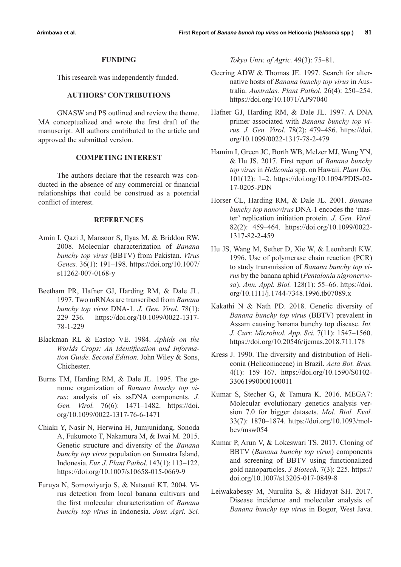#### **FUNDING**

This research was independently funded.

# **AUTHORS' CONTRIBUTIONS**

GNASW and PS outlined and review the theme. MA conceptualized and wrote the first draft of the manuscript. All authors contributed to the article and approved the submitted version.

# **COMPETING INTEREST**

The authors declare that the research was conducted in the absence of any commercial or financial relationships that could be construed as a potential conflict of interest.

## **REFERENCES**

- Amin I, Qazi J, Mansoor S, Ilyas M, & Briddon RW. 2008. Molecular characterization of *Banana bunchy top virus* (BBTV) from Pakistan. *Virus Genes.* 36(1): 191–198. https://doi.org/10.1007/ s11262-007-0168-y
- Beetham PR, Hafner GJ, Harding RM, & Dale JL. 1997. Two mRNAs are transcribed from *Banana bunchy top virus* DNA-1. *J. Gen. Virol.* 78(1): 229–236. https://doi.org/10.1099/0022-1317- 78-1-229
- Blackman RL & Eastop VE. 1984. *Aphids on the Worlds Crops: An Identification and Information Guide. Second Edition.* John Wiley & Sons, Chichester.
- Burns TM, Harding RM, & Dale JL. 1995. The genome organization of *Banana bunchy top virus*: analysis of six ssDNA components. *J. Gen. Virol.* 76(6): 1471–1482. https://doi. org/10.1099/0022-1317-76-6-1471
- Chiaki Y, Nasir N, Herwina H, Jumjunidang, Sonoda A, Fukumoto T, Nakamura M, & Iwai M. 2015. Genetic structure and diversity of the *Banana bunchy top virus* population on Sumatra Island, Indonesia. *Eur. J. Plant Pathol.* 143(1): 113–122. https://doi.org/10.1007/s10658-015-0669-9
- Furuya N, Somowiyarjo S, & Natsuati KT. 2004. Virus detection from local banana cultivars and the first molecular characterization of *Banana bunchy top virus* in Indonesia. *Jour. Agri. Sci.*

*Tokyo Univ. of Agric.* 49(3): 75–81.

- Geering ADW & Thomas JE. 1997. Search for alternative hosts of *Banana bunchy top virus* in Australia. *Australas. Plant Pathol*. 26(4): 250–254. https://doi.org/10.1071/AP97040
- Hafner GJ, Harding RM, & Dale JL. 1997. A DNA primer associated with *Banana bunchy top virus. J. Gen. Virol.* 78(2): 479–486. https://doi. org/10.1099/0022-1317-78-2-479
- Hamim I, Green JC, Borth WB, Melzer MJ, Wang YN, & Hu JS. 2017. First report of *Banana bunchy top virus* in *Heliconia* spp. on Hawaii. *Plant Dis.* 101(12): 1–2. https://doi.org/10.1094/PDIS-02- 17-0205-PDN
- Horser CL, Harding RM, & Dale JL. 2001. *Banana bunchy top nanovirus* DNA-1 encodes the 'master' replication initiation protein. *J. Gen. Virol.* 82(2): 459–464. https://doi.org/10.1099/0022- 1317-82-2-459
- Hu JS, Wang M, Sether D, Xie W, & Leonhardt KW. 1996. Use of polymerase chain reaction (PCR) to study transmission of *Banana bunchy top virus* by the banana aphid (*Pentalonia nigronervosa*). *Ann. Appl. Biol.* 128(1): 55–66. https://doi. org/10.1111/j.1744-7348.1996.tb07089.x
- Kakathi N & Nath PD. 2018. Genetic diversity of *Banana bunchy top virus* (BBTV) prevalent in Assam causing banana bunchy top disease. *Int. J. Curr. Microbiol. App. Sci.* 7(11): 1547–1560. https://doi.org/10.20546/ijcmas.2018.711.178
- Kress J. 1990. The diversity and distribution of Heliconia (Heliconiaceae) in Brazil. *Acta Bot. Bras.* 4(1): 159–167. https://doi.org/10.1590/S0102- 33061990000100011
- Kumar S, Stecher G, & Tamura K. 2016. MEGA7: Molecular evolutionary genetics analysis version 7.0 for bigger datasets. *Mol. Biol. Evol.* 33(7): 1870–1874. https://doi.org/10.1093/molbev/msw054
- Kumar P, Arun V, & Lokeswari TS. 2017. Cloning of BBTV (*Banana bunchy top virus*) components and screening of BBTV using functionalized gold nanoparticles. *3 Biotech*. 7(3): 225. https:// doi.org/10.1007/s13205-017-0849-8
- Leiwakabessy M, Nurulita S, & Hidayat SH. 2017. Disease incidence and molecular analysis of *Banana bunchy top virus* in Bogor, West Java.